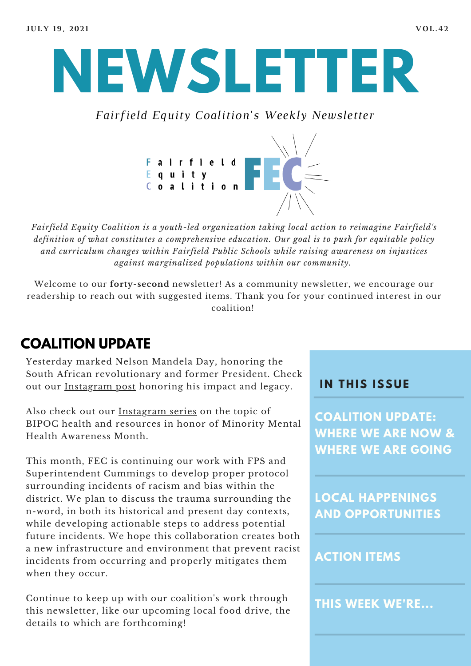

*Fairfield Equity Coalition's Weekly Newsletter*



*Fairfield Equity Coalition is a youth-led organization taking local action to reimagine Fairfield's definition of what constitutes a comprehensive education. Our goal is to push for equitable policy and curriculum changes within Fairfield Public Schools while raising awareness on injustices against marginalized populations within our community.*

Welcome to our **forty-second** newsletter! As a community newsletter, we encourage our readership to reach out with suggested items. Thank you for your continued interest in our coalition!

# **COALITION UPDATE**

Yesterday marked Nelson Mandela Day, honoring the South African revolutionary and former President. Check out our [Instagram](https://www.instagram.com/fairfieldequitycoalition/?hl=en) post honoring his impact and legacy.

Also check out our [Instagram](https://www.instagram.com/fairfieldequitycoalition/?hl=en) series on the topic of BIPOC health and resources in honor of Minority Mental Health Awareness Month.

This month, FEC is continuing our work with FPS and Superintendent Cummings to develop proper protocol surrounding incidents of racism and bias within the district. We plan to discuss the trauma surrounding the n-word, in both its historical and present day contexts, while developing actionable steps to address potential future incidents. We hope this collaboration creates both a new infrastructure and environment that prevent racist incidents from occurring and properly mitigates them when they occur.

Continue to keep up with our coalition's work through this newsletter, like our upcoming local food drive, the details to which are forthcoming!

### **I N THIS ISSUE**

**COALITION UPDATE: WHERE WE ARE NOW & WHERE WE ARE GOING**

**LOCAL HAPPENINGS AND OPPORTUNITIES**

### **ACTION ITEMS**

**THIS WEEK WE'RE...**